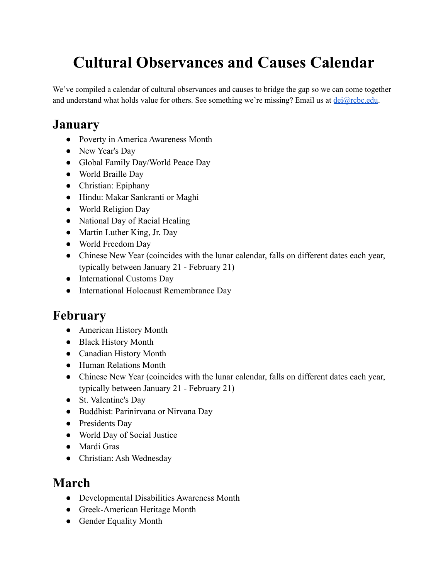# **Cultural Observances and Causes Calendar**

 We've compiled a calendar of cultural observances and causes to bridge the gap so we can come together and understand what holds value for others. See something we're missing? Email us at [dei@rcbc.edu.](mailto:dei@rcbc.edu)

# **January**

- Poverty in America Awareness Month
- New Year's Day
- Global Family Day/World Peace Day
- World Braille Day
- Christian: Epiphany
- Hindu: Makar Sankranti or Maghi
- World Religion Day
- National Day of Racial Healing
- Martin Luther King, Jr. Day
- World Freedom Day
- Chinese New Year (coincides with the lunar calendar, falls on different dates each year, typically between January 21 - February 21)
- International Customs Day
- International Holocaust Remembrance Day

# **February**

- American History Month
- Black History Month
- Canadian History Month
- Human Relations Month
- Chinese New Year (coincides with the lunar calendar, falls on different dates each year, typically between January 21 - February 21)
- St. Valentine's Day
- Buddhist: Parinirvana or Nirvana Day
- Presidents Day
- World Day of Social Justice
- Mardi Gras
- Christian: Ash Wednesday

#### **March**

- Developmental Disabilities Awareness Month
- Greek-American Heritage Month
- Gender Equality Month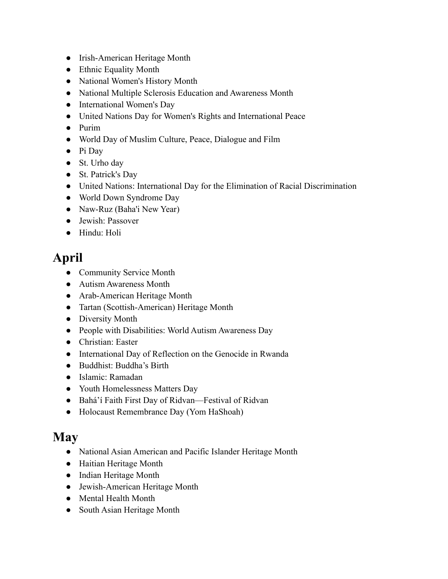- Irish-American Heritage Month
- Ethnic Equality Month
- National Women's History Month
- National Multiple Sclerosis Education and Awareness Month
- International Women's Day
- United Nations Day for Women's Rights and International Peace
- Purim
- World Day of Muslim Culture, Peace, Dialogue and Film
- Pi Day
- St. Urho day
- St. Patrick's Day
- United Nations: International Day for the Elimination of Racial Discrimination
- World Down Syndrome Day
- Naw-Ruz (Baha'i New Year)
- Jewish: Passover
- Hindu: Holi

# **April**

- Community Service Month
- Autism Awareness Month
- Arab-American Heritage Month
- Tartan (Scottish-American) Heritage Month
- Diversity Month
- People with Disabilities: World Autism Awareness Day
- Christian: Easter
- International Day of Reflection on the Genocide in Rwanda
- Buddhist: Buddha's Birth
- Islamic: Ramadan
- Youth Homelessness Matters Day
- Bahá'í Faith First Day of Ridvan—Festival of Ridvan
- Holocaust Remembrance Day (Yom HaShoah)

#### **May**

- National Asian American and Pacific Islander Heritage Month
- Haitian Heritage Month
- Indian Heritage Month
- Jewish-American Heritage Month
- Mental Health Month
- South Asian Heritage Month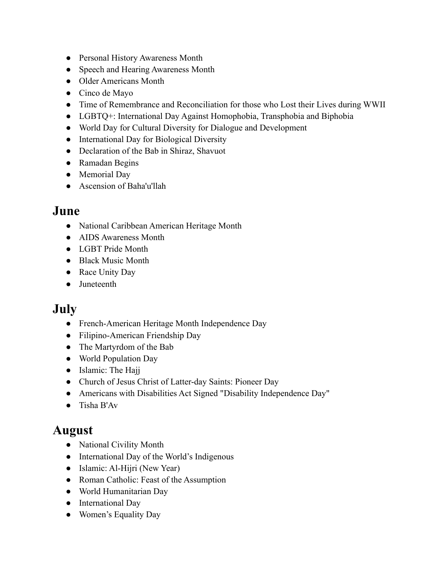- Personal History Awareness Month
- Speech and Hearing Awareness Month
- Older Americans Month
- Cinco de Mayo
- Time of Remembrance and Reconciliation for those who Lost their Lives during WWII
- LGBTQ+: International Day Against Homophobia, Transphobia and Biphobia
- World Day for Cultural Diversity for Dialogue and Development
- International Day for Biological Diversity
- Declaration of the Bab in Shiraz, Shavuot
- Ramadan Begins
- Memorial Day
- Ascension of Baha'u'llah

#### **June**

- National Caribbean American Heritage Month
- AIDS Awareness Month
- LGBT Pride Month
- Black Music Month
- Race Unity Day
- Juneteenth

## **July**

- French-American Heritage Month Independence Day
- Filipino-American Friendship Day
- The Martyrdom of the Bab
- World Population Day
- Islamic: The Hajj
- Church of Jesus Christ of Latter-day Saints: Pioneer Day
- Americans with Disabilities Act Signed "Disability Independence Day"
- Tisha B'Av

## **August**

- National Civility Month
- International Day of the World's Indigenous
- Islamic: Al-Hijri (New Year)
- Roman Catholic: Feast of the Assumption
- World Humanitarian Day
- International Day
- Women's Equality Day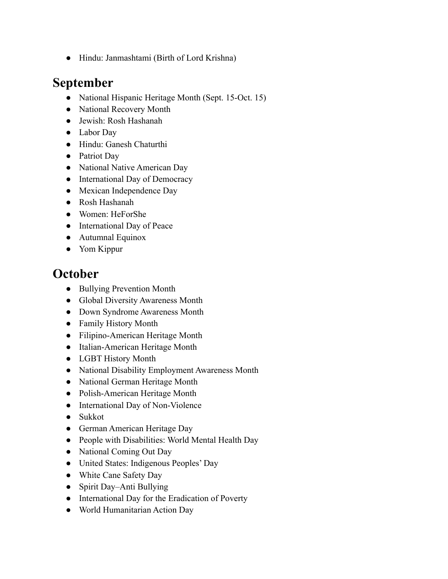● Hindu: Janmashtami (Birth of Lord Krishna)

## **September**

- National Hispanic Heritage Month (Sept. 15-Oct. 15)
- National Recovery Month
- Jewish: Rosh Hashanah
- Labor Day
- Hindu: Ganesh Chaturthi
- Patriot Day
- National Native American Day
- International Day of Democracy
- Mexican Independence Day
- Rosh Hashanah
- Women: HeForShe
- International Day of Peace
- Autumnal Equinox
- Yom Kippur

#### **October**

- Bullying Prevention Month
- Global Diversity Awareness Month
- Down Syndrome Awareness Month
- Family History Month
- Filipino-American Heritage Month
- Italian-American Heritage Month
- LGBT History Month
- National Disability Employment Awareness Month
- National German Heritage Month
- Polish-American Heritage Month
- International Day of Non-Violence
- Sukkot
- German American Heritage Day
- People with Disabilities: World Mental Health Day
- National Coming Out Day
- United States: Indigenous Peoples' Day
- White Cane Safety Day
- Spirit Day–Anti Bullying
- International Day for the Eradication of Poverty
- World Humanitarian Action Day